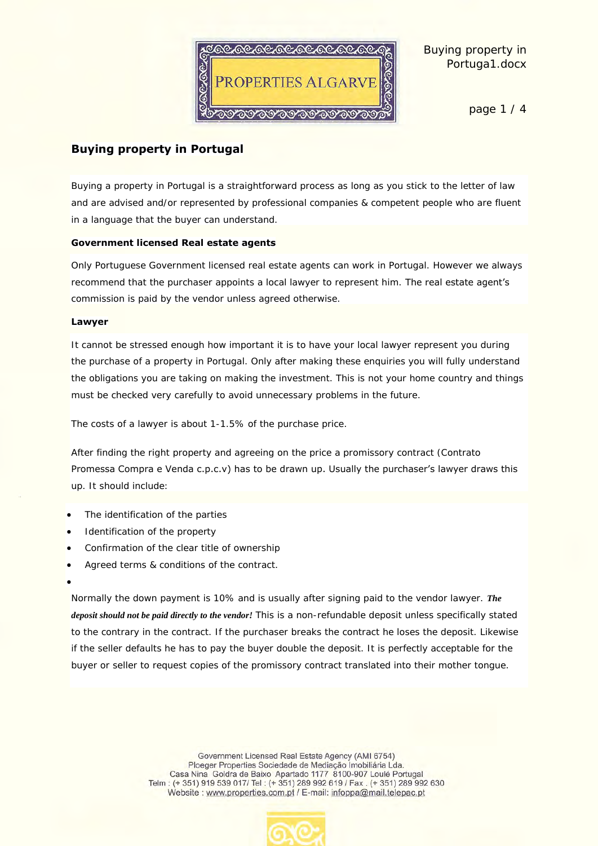

page 1 / 4

# **Buying property in Portugal**

Buying a property in Portugal is a straightforward process as long as you stick to the letter of law and are advised and/or represented by professional companies & competent people who are fluent in a language that the buyer can understand.

#### **Government licensed Real estate agents**

Only Portuguese Government licensed real estate agents can work in Portugal. However we always recommend that the purchaser appoints a local lawyer to represent him. The real estate agent's commission is paid by the vendor unless agreed otherwise.

#### **Lawyer**

It cannot be stressed enough how important it is to have your local lawyer represent you during the purchase of a property in Portugal. Only after making these enquiries you will fully understand the obligations you are taking on making the investment. This is not your home country and things must be checked very carefully to avoid unnecessary problems in the future.

The costs of a lawyer is about 1-1.5% of the purchase price.

After finding the right property and agreeing on the price a promissory contract (Contrato Promessa Compra e Venda c.p.c.v) has to be drawn up. Usually the purchaser's lawyer draws this up. It should include:

- The identification of the parties
- Identification of the property
- Confirmation of the clear title of ownership
- Agreed terms & conditions of the contract.
- $\bullet$

Normally the down payment is 10% and is usually after signing paid to the vendor lawyer. *The deposit should not be paid directly to the vendor!* This is a non-refundable deposit unless specifically stated to the contrary in the contract. If the purchaser breaks the contract he loses the deposit. Likewise if the seller defaults he has to pay the buyer double the deposit. It is perfectly acceptable for the buyer or seller to request copies of the promissory contract translated into their mother tongue.

> Government Licensed Real Estate Agency (AMI 6754) Ploeger Properties Sociedade de Mediação Imobiliária Lda. Casa Nina Goldra de Baixo Apartado 1177 8100-907 Loulé Portugal Telm: (+351) 919 539 017/ Tel: (+351) 289 992 619 / Fax. (+351) 289 992 630 Website: www.properties.com.pt / E-mail: infoppa@mail.telepac.pt

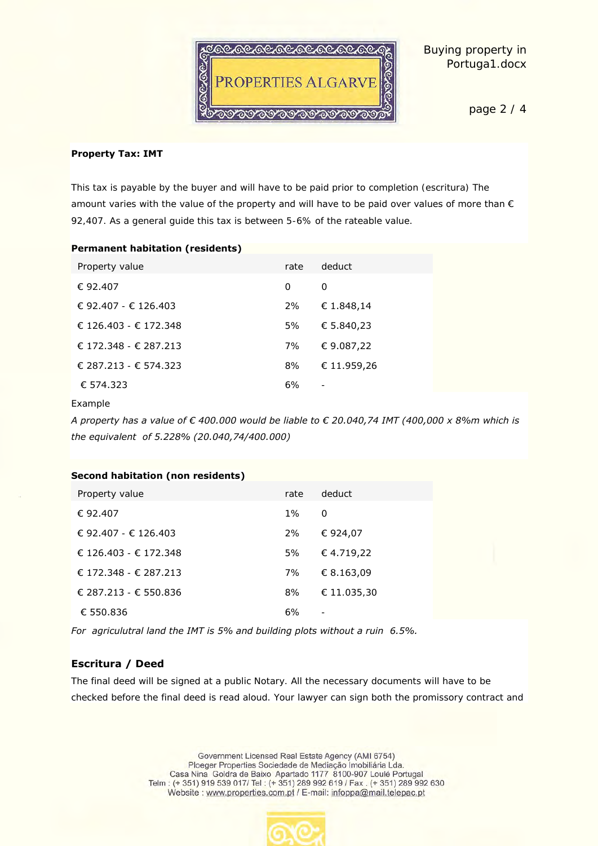

page 2 / 4

#### **Property Tax: IMT**

This tax is payable by the buyer and will have to be paid prior to completion (escritura) The amount varies with the value of the property and will have to be paid over values of more than € 92,407. As a general guide this tax is between 5-6% of the rateable value.

| <b>Permanent habitation (residents)</b> |      |             |
|-----------------------------------------|------|-------------|
| Property value                          | rate | deduct      |
| € 92.407                                | Ω    | $\bigcap$   |
| € 92.407 - € 126.403                    | 2%   | € 1.848,14  |
| € 126.403 - € 172.348                   | 5%   | € 5.840,23  |
| $£ 172.348 - £ 287.213$                 | 7%   | €9.087,22   |
| € 287.213 - € 574.323                   | 8%   | € 11.959,26 |
| € 574.323                               | 6%   |             |
|                                         |      |             |

Example

A property has a value of  $\epsilon$  400.000 would be liable to  $\epsilon$  20.040,74 IMT (400,000 x 8%m which is *the equivalent of 5.228% (20.040,74/400.000)*

| Second habitation (non residents) |      |             |  |  |
|-----------------------------------|------|-------------|--|--|
| Property value                    | rate | deduct      |  |  |
| € 92.407                          | 1%   | ∩           |  |  |
| € 92.407 - € 126.403              | 2%   | € 924,07    |  |  |
| € 126.403 - € 172.348             | 5%   | €4.719,22   |  |  |
| € 172.348 - € 287.213             | 7%   | € 8.163,09  |  |  |
| € 287.213 - € 550.836             | 8%   | € 11.035.30 |  |  |
| € 550.836                         | 6%   | ۰           |  |  |

*For agriculutral land the IMT is 5% and building plots without a ruin 6.5%.*

## **Escritura / Deed**

The final deed will be signed at a public Notary. All the necessary documents will have to be checked before the final deed is read aloud. Your lawyer can sign both the promissory contract and

> Government Licensed Real Estate Agency (AMI 6754) Ploeger Properties Sociedade de Mediação Impbiliária Lda.<br>Casa Nina Goldra de Baixo Apartado 1177 8100-907 Loulé Portugal Telm: (+351) 919 539 017/ Tel: (+351) 289 992 619 / Fax. (+351) 289 992 630 Website : www.properties.com.pt / E-mail: infoppa@mail.telepac.pt

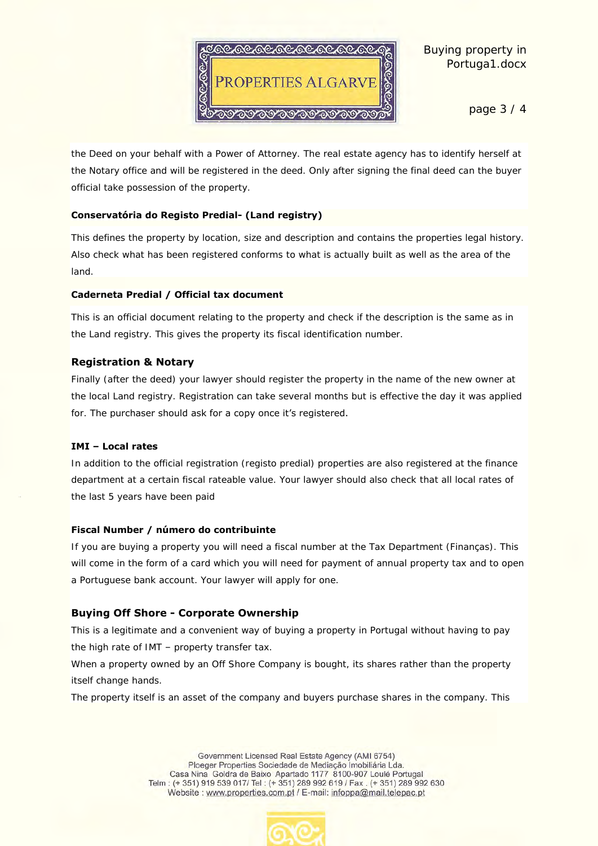

page 3 / 4

the Deed on your behalf with a Power of Attorney. The real estate agency has to identify herself at the Notary office and will be registered in the deed. Only after signing the final deed can the buyer official take possession of the property.

#### **Conservatória do Registo Predial- (Land registry)**

This defines the property by location, size and description and contains the properties legal history. Also check what has been registered conforms to what is actually built as well as the area of the land.

#### **Caderneta Predial / Official tax document**

This is an official document relating to the property and check if the description is the same as in the Land registry. This gives the property its fiscal identification number.

# **Registration & Notary**

Finally (after the deed) your lawyer should register the property in the name of the new owner at the local Land registry. Registration can take several months but is effective the day it was applied for. The purchaser should ask for a copy once it's registered.

## **IMI – Local rates**

In addition to the official registration (registo predial) properties are also registered at the finance department at a certain fiscal rateable value. Your lawyer should also check that all local rates of the last 5 years have been paid

## **Fiscal Number / número do contribuinte**

If you are buying a property you will need a fiscal number at the Tax Department (Finanças). This will come in the form of a card which you will need for payment of annual property tax and to open a Portuguese bank account. Your lawyer will apply for one.

# **Buying Off Shore - Corporate Ownership**

This is a legitimate and a convenient way of buying a property in Portugal without having to pay the high rate of IMT – property transfer tax.

When a property owned by an Off Shore Company is bought, its shares rather than the property itself change hands.

The property itself is an asset of the company and buyers purchase shares in the company. This

Government Licensed Real Estate Agency (AMI 6754) Ploeger Properties Sociedade de Mediação Imobiliária Lda. Casa Nina Goldra de Baixo Apartado 1177 8100-907 Loulé Portugal Telm: (+351) 919 539 017/ Tel: (+351) 289 992 619 / Fax. (+351) 289 992 630 Website: www.properties.com.pt / E-mail: infoppa@mail.telepac.pt